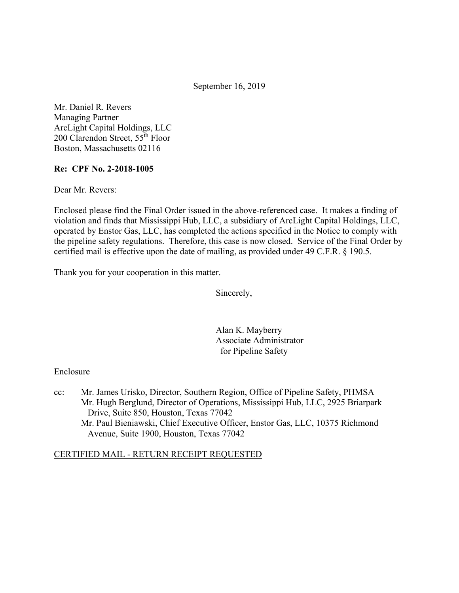September 16, 2019

Mr. Daniel R. Revers Managing Partner ArcLight Capital Holdings, LLC 200 Clarendon Street, 55th Floor Boston, Massachusetts 02116

## **Re: CPF No. 2-2018-1005**

Dear Mr. Revers:

Enclosed please find the Final Order issued in the above-referenced case. It makes a finding of violation and finds that Mississippi Hub, LLC, a subsidiary of ArcLight Capital Holdings, LLC, operated by Enstor Gas, LLC, has completed the actions specified in the Notice to comply with the pipeline safety regulations. Therefore, this case is now closed. Service of the Final Order by certified mail is effective upon the date of mailing, as provided under 49 C.F.R. § 190.5.

Thank you for your cooperation in this matter.

Sincerely,

Alan K. Mayberry Associate Administrator for Pipeline Safety

#### Enclosure

cc: Mr. James Urisko, Director, Southern Region, Office of Pipeline Safety, PHMSA Mr. Hugh Berglund, Director of Operations, Mississippi Hub, LLC, 2925 Briarpark Drive, Suite 850, Houston, Texas 77042 Mr. Paul Bieniawski, Chief Executive Officer, Enstor Gas, LLC, 10375 Richmond Avenue, Suite 1900, Houston, Texas 77042

## CERTIFIED MAIL - RETURN RECEIPT REQUESTED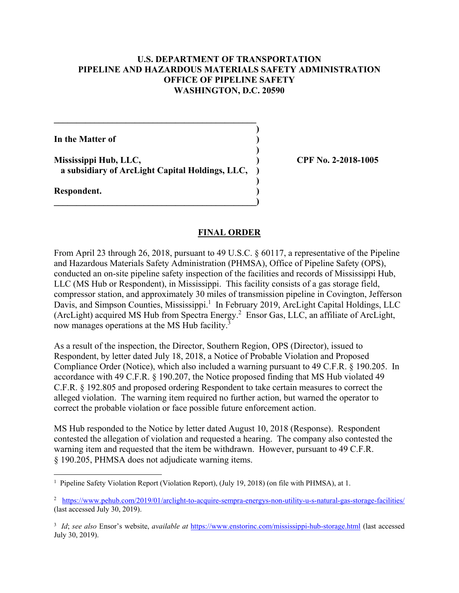## **U.S. DEPARTMENT OF TRANSPORTATION PIPELINE AND HAZARDOUS MATERIALS SAFETY ADMINISTRATION OFFICE OF PIPELINE SAFETY WASHINGTON, D.C. 20590**

**)**

 **)**

**)** 

**In the Matter of )**

**Mississippi Hub, LLC, ) CPF No. 2-2018-1005 a subsidiary of ArcLight Capital Holdings, LLC, )**

 $\overline{\phantom{a}}$ 

**\_\_\_\_\_\_\_\_\_\_\_\_\_\_\_\_\_\_\_\_\_\_\_\_\_\_\_\_\_\_\_\_\_\_\_\_\_\_\_\_\_\_\_\_\_** 

**Respondent. )** 

#### **FINAL ORDER**

From April 23 through 26, 2018, pursuant to 49 U.S.C. § 60117, a representative of the Pipeline and Hazardous Materials Safety Administration (PHMSA), Office of Pipeline Safety (OPS), conducted an on-site pipeline safety inspection of the facilities and records of Mississippi Hub, LLC (MS Hub or Respondent), in Mississippi. This facility consists of a gas storage field, compressor station, and approximately 30 miles of transmission pipeline in Covington, Jefferson Davis, and Simpson Counties, Mississippi.<sup>1</sup> In February 2019, ArcLight Capital Holdings, LLC (ArcLight) acquired MS Hub from Spectra Energy.<sup>2</sup> Ensor Gas, LLC, an affiliate of ArcLight, now manages operations at the MS Hub facility.<sup>3</sup>

As a result of the inspection, the Director, Southern Region, OPS (Director), issued to Respondent, by letter dated July 18, 2018, a Notice of Probable Violation and Proposed Compliance Order (Notice), which also included a warning pursuant to 49 C.F.R. § 190.205. In accordance with 49 C.F.R. § 190.207, the Notice proposed finding that MS Hub violated 49 C.F.R. § 192.805 and proposed ordering Respondent to take certain measures to correct the alleged violation. The warning item required no further action, but warned the operator to correct the probable violation or face possible future enforcement action.

MS Hub responded to the Notice by letter dated August 10, 2018 (Response). Respondent contested the allegation of violation and requested a hearing. The company also contested the warning item and requested that the item be withdrawn. However, pursuant to 49 C.F.R. § 190.205, PHMSA does not adjudicate warning items.

 1 Pipeline Safety Violation Report (Violation Report), (July 19, 2018) (on file with PHMSA), at 1.

<sup>&</sup>lt;sup>2</sup> <https://www.pehub.com/2019/01/arclight-to-acquire-sempra-energys-non-utility-u-s-natural-gas-storage-facilities>/ (last accessed July 30, 2019).

 <sup>3</sup> *Id*; *see also* Ensor's website, *available at* <https://www.enstorinc.com/mississippi-hub-storage.html> (last accessed July 30, 2019).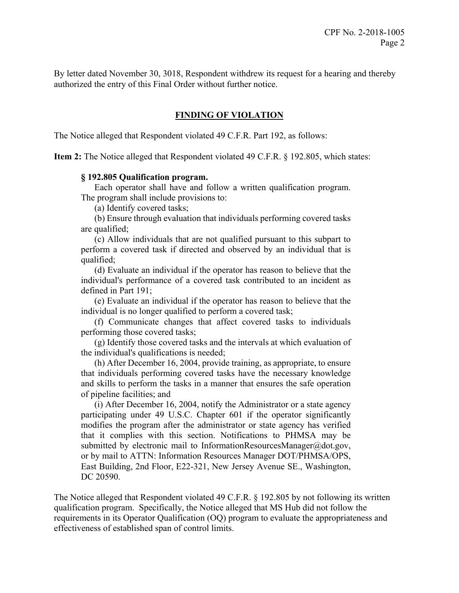By letter dated November 30, 3018, Respondent withdrew its request for a hearing and thereby authorized the entry of this Final Order without further notice.

# **FINDING OF VIOLATION**

The Notice alleged that Respondent violated 49 C.F.R. Part 192, as follows:

**Item 2:** The Notice alleged that Respondent violated 49 C.F.R. § 192.805, which states:

#### **§ 192.805 Qualification program.**

Each operator shall have and follow a written qualification program. The program shall include provisions to:

(a) Identify covered tasks;

(b) Ensure through evaluation that individuals performing covered tasks are qualified;

(c) Allow individuals that are not qualified pursuant to this subpart to perform a covered task if directed and observed by an individual that is qualified;

(d) Evaluate an individual if the operator has reason to believe that the individual's performance of a covered task contributed to an incident as defined in Part 191;

(e) Evaluate an individual if the operator has reason to believe that the individual is no longer qualified to perform a covered task;

(f) Communicate changes that affect covered tasks to individuals performing those covered tasks;

(g) Identify those covered tasks and the intervals at which evaluation of the individual's qualifications is needed;

(h) After December 16, 2004, provide training, as appropriate, to ensure that individuals performing covered tasks have the necessary knowledge and skills to perform the tasks in a manner that ensures the safe operation of pipeline facilities; and

(i) After December 16, 2004, notify the Administrator or a state agency participating under 49 U.S.C. Chapter 601 if the operator significantly modifies the program after the administrator or state agency has verified that it complies with this section. Notifications to PHMSA may be submitted by electronic mail to [InformationResourcesManager@dot.gov](mailto:InformationResourcesManager@dot.gov), or by mail to ATTN: Information Resources Manager DOT/PHMSA/OPS, East Building, 2nd Floor, E22-321, New Jersey Avenue SE., Washington, DC 20590.

The Notice alleged that Respondent violated 49 C.F.R. § 192.805 by not following its written qualification program. Specifically, the Notice alleged that MS Hub did not follow the requirements in its Operator Qualification (OQ) program to evaluate the appropriateness and effectiveness of established span of control limits.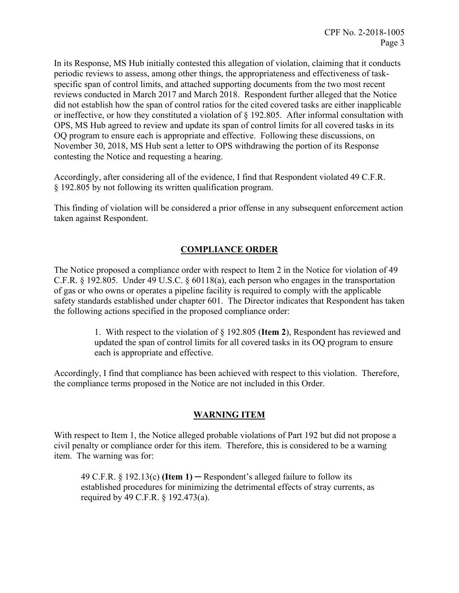In its Response, MS Hub initially contested this allegation of violation, claiming that it conducts periodic reviews to assess, among other things, the appropriateness and effectiveness of taskspecific span of control limits, and attached supporting documents from the two most recent reviews conducted in March 2017 and March 2018. Respondent further alleged that the Notice did not establish how the span of control ratios for the cited covered tasks are either inapplicable or ineffective, or how they constituted a violation of § 192.805. After informal consultation with OPS, MS Hub agreed to review and update its span of control limits for all covered tasks in its OQ program to ensure each is appropriate and effective. Following these discussions, on November 30, 2018, MS Hub sent a letter to OPS withdrawing the portion of its Response contesting the Notice and requesting a hearing.

Accordingly, after considering all of the evidence, I find that Respondent violated 49 C.F.R. § 192.805 by not following its written qualification program.

This finding of violation will be considered a prior offense in any subsequent enforcement action taken against Respondent.

# **COMPLIANCE ORDER**

The Notice proposed a compliance order with respect to Item 2 in the Notice for violation of 49 C.F.R. § 192.805. Under 49 U.S.C. § 60118(a), each person who engages in the transportation of gas or who owns or operates a pipeline facility is required to comply with the applicable safety standards established under chapter 601. The Director indicates that Respondent has taken the following actions specified in the proposed compliance order:

> 1. With respect to the violation of § 192.805 (**Item 2**), Respondent has reviewed and updated the span of control limits for all covered tasks in its OQ program to ensure each is appropriate and effective.

Accordingly, I find that compliance has been achieved with respect to this violation. Therefore, the compliance terms proposed in the Notice are not included in this Order.

# **WARNING ITEM**

With respect to Item 1, the Notice alleged probable violations of Part 192 but did not propose a civil penalty or compliance order for this item. Therefore, this is considered to be a warning item. The warning was for:

49 C.F.R. § 192.13(c) **(Item 1)** ─ Respondent's alleged failure to follow its established procedures for minimizing the detrimental effects of stray currents, as required by 49 C.F.R. § 192.473(a).